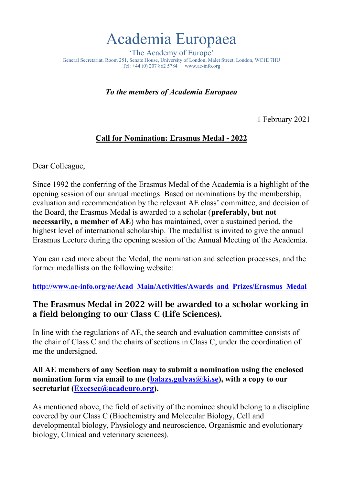## Academia Europaea

'The Academy of Europe' General Secretariat, Room 251, Senate House, University of London, Malet Street, London, WC1E 7HU Tel: +44 (0) 207 862 5784 www.ae-info.org

*To the members of Academia Europaea*

1 February 2021

## **Call for Nomination: Erasmus Medal - 2022**

Dear Colleague,

Since 1992 the conferring of the Erasmus Medal of the Academia is a highlight of the opening session of our annual meetings. Based on nominations by the membership, evaluation and recommendation by the relevant AE class' committee, and decision of the Board, the Erasmus Medal is awarded to a scholar (**preferably, but not necessarily, a member of AE**) who has maintained, over a sustained period, the highest level of international scholarship. The medallist is invited to give the annual Erasmus Lecture during the opening session of the Annual Meeting of the Academia.

You can read more about the Medal, the nomination and selection processes, and the former medallists on the following website:

**[http://www.ae-info.org/ae/Acad\\_Main/Activities/Awards\\_and\\_Prizes/Erasmus\\_Medal](http://www.ae-info.org/ae/Acad_Main/Activities/Awards_and_Prizes/Erasmus_Medal)**

## The Erasmus Medal in 2022 will be awarded to a scholar working in a field belonging to our Class C (Life Sciences).

In line with the regulations of AE, the search and evaluation committee consists of the chair of Class C and the chairs of sections in Class C, under the coordination of me the undersigned.

**All AE members of any Section may to submit a nomination using the enclosed nomination form via email to me [\(balazs.gulyas@ki.se\)](mailto:balazs.gulyas@ki.se)**, with a copy to our **secretariat [\(Execsec@acadeuro.org\)](mailto:Execsec@acadeuro.org).** 

As mentioned above, the field of activity of the nominee should belong to a discipline covered by our Class C (Biochemistry and Molecular Biology, Cell and developmental biology, Physiology and neuroscience, Organismic and evolutionary biology, Clinical and veterinary sciences).